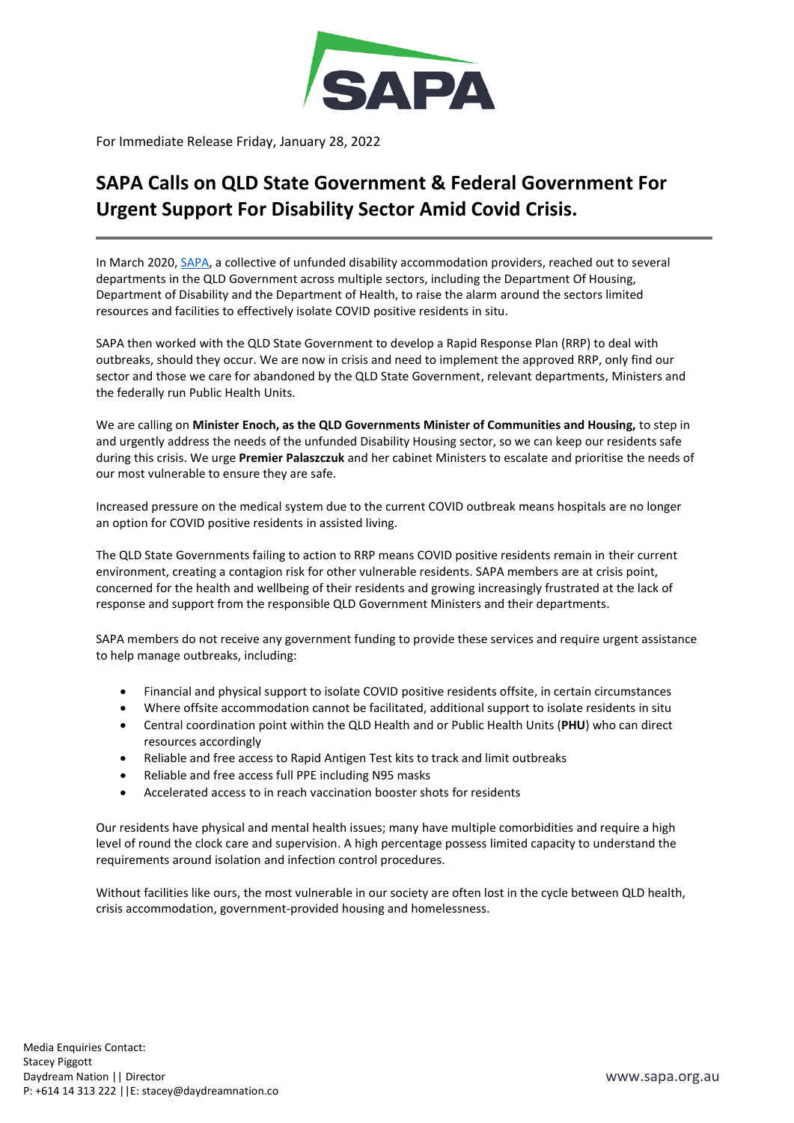

For Immediate Release Friday, January 28, 2022

## **SAPA Calls on QLD State Government & Federal Government For Urgent Support For Disability Sector Amid Covid Crisis.**

In March 2020[, SAPA,](https://sapa.org.au/) a collective of unfunded disability accommodation providers, reached out to several departments in the QLD Government across multiple sectors, including the Department Of Housing, Department of Disability and the Department of Health, to raise the alarm around the sectors limited resources and facilities to effectively isolate COVID positive residents in situ.

SAPA then worked with the QLD State Government to develop a Rapid Response Plan (RRP) to deal with outbreaks, should they occur. We are now in crisis and need to implement the approved RRP, only find our sector and those we care for abandoned by the QLD State Government, relevant departments, Ministers and the federally run Public Health Units.

We are calling on **Minister Enoch, as the QLD Governments Minister of Communities and Housing,** to step in and urgently address the needs of the unfunded Disability Housing sector, so we can keep our residents safe during this crisis. We urge **Premier Palaszczuk** and her cabinet Ministers to escalate and prioritise the needs of our most vulnerable to ensure they are safe.

Increased pressure on the medical system due to the current COVID outbreak means hospitals are no longer an option for COVID positive residents in assisted living.

The QLD State Governments failing to action to RRP means COVID positive residents remain in their current environment, creating a contagion risk for other vulnerable residents. SAPA members are at crisis point, concerned for the health and wellbeing of their residents and growing increasingly frustrated at the lack of response and support from the responsible QLD Government Ministers and their departments.

SAPA members do not receive any government funding to provide these services and require urgent assistance to help manage outbreaks, including:

- Financial and physical support to isolate COVID positive residents offsite, in certain circumstances
- Where offsite accommodation cannot be facilitated, additional support to isolate residents in situ
- Central coordination point within the QLD Health and or Public Health Units (**PHU**) who can direct resources accordingly
- Reliable and free access to Rapid Antigen Test kits to track and limit outbreaks
- Reliable and free access full PPE including N95 masks
- Accelerated access to in reach vaccination booster shots for residents

Our residents have physical and mental health issues; many have multiple comorbidities and require a high level of round the clock care and supervision. A high percentage possess limited capacity to understand the requirements around isolation and infection control procedures.

Without facilities like ours, the most vulnerable in our society are often lost in the cycle between QLD health, crisis accommodation, government-provided housing and homelessness.